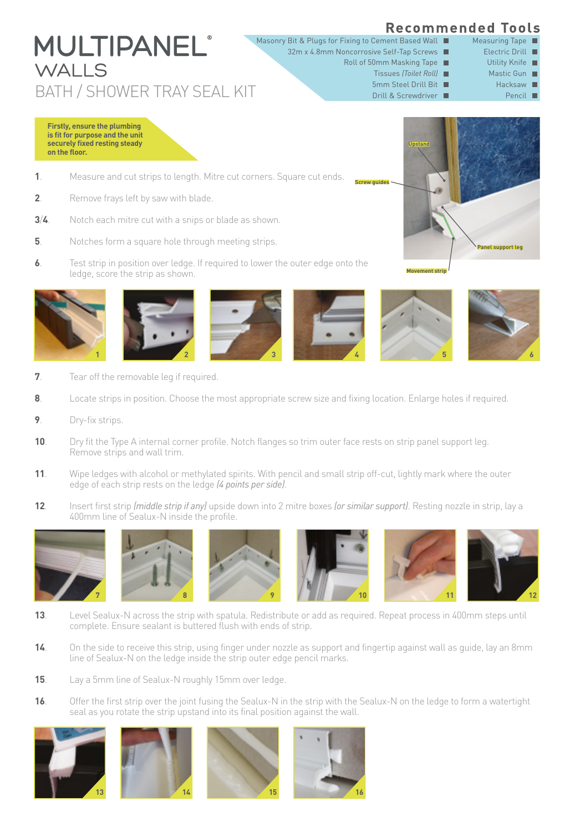## **Recommended Tools**

- Masonry Bit & Plugs for Fixing to Cement Based Wall
	- Roll of 50mm Masking Tape 32m x 4.8mm Noncorrosive Self-Tap Screws

**Screw guides**

- Tissues *(Toilet Roll)*
	- 5mm Steel Drill Bit
		-
- Hacksaw **II** Mastic Gun Utility Knife
- Pencil  $\blacksquare$

**Firstly, ensure the plumbing is fit for purpose and the unit securely fixed resting steady on the floor.**

WALLS

- **1**. Measure and cut strips to length. Mitre cut corners. Square cut ends.
- **2**. Remove frays left by saw with blade.

**MULTIPANEL**'

- **3**/**4**. Notch each mitre cut with a snips or blade as shown.
- **5**. Notches form a square hole through meeting strips.
- **6**. Test strip in position over ledge. If required to lower the outer edge onto the ledge, score the strip as shown.













- **7**. Tear off the removable leg if required.
- **8**. Locate strips in position. Choose the most appropriate screw size and fixing location. Enlarge holes if required.
- **9**. Dry-fix strips.
- **10.** Dry fit the Type A internal corner profile. Notch flanges so trim outer face rests on strip panel support leg. Remove strips and wall trim.
- **11**. Wipe ledges with alcohol or methylated spirits. With pencil and small strip off-cut, lightly mark where the outer edge of each strip rests on the ledge *(4 points per side)*.
- **12**. Insert first strip *(middle strip if any)* upside down into 2 mitre boxes *(or similar support)*. Resting nozzle in strip, lay a 400mm line of Sealux-N inside the profile.



- **13.** Level Sealux-N across the strip with spatula. Redistribute or add as required. Repeat process in 400mm steps until complete. Ensure sealant is buttered flush with ends of strip.
- **14.** On the side to receive this strip, using finger under nozzle as support and fingertip against wall as guide, lay an 8mm line of Sealux-N on the ledge inside the strip outer edge pencil marks.
- **15**. Lay a 5mm line of Sealux-N roughly 15mm over ledge.
- **16**. Offer the first strip over the joint fusing the Sealux-N in the strip with the Sealux-N on the ledge to form a watertight seal as you rotate the strip upstand into its final position against the wall.











BATH / SHOWER TRAY SEAL KIT DRIVER THE SCREW STATE OF THE SCREW STATE OF THE SCREW OF THE SCREW OF THE SCREW OF THE SCREW OF THE SCREW OF THE SCREW OF THE SCREW OF THE SCREW OF THE SCREW OF THE SCREW OF THE SCREW OF THE SC

Measuring Tape Electric Drill